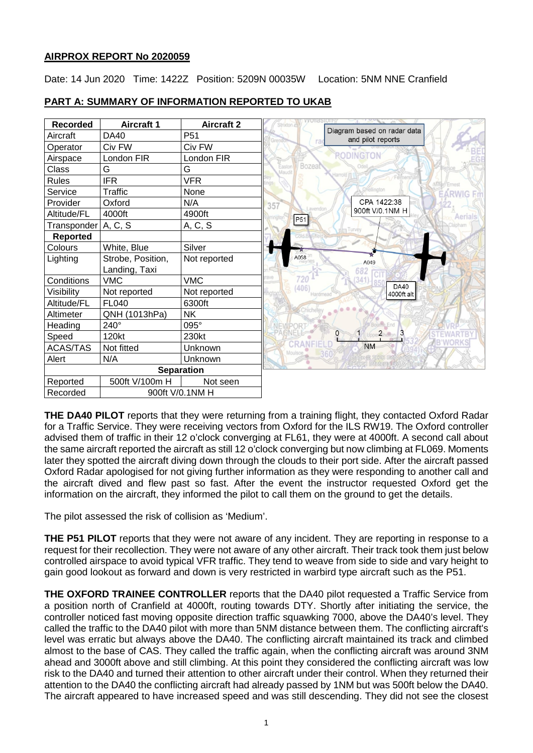## **AIRPROX REPORT No 2020059**

Date: 14 Jun 2020 Time: 1422Z Position: 5209N 00035W Location: 5NM NNE Cranfield

| <b>Recorded</b>       | <b>Aircraft 1</b> | <b>Aircraft 2</b> | Strixton c                                       |
|-----------------------|-------------------|-------------------|--------------------------------------------------|
| Aircraft              | <b>DA40</b>       | P <sub>51</sub>   | Diagram based on radar data<br>and pilot reports |
| Operator              | Civ FW            | Civ FW            | ra                                               |
| Airspace              | London FIR        | London FIR        | <b>ODINGTON</b>                                  |
| Class                 | G                 | G                 | Bozeat<br>Easton<br>Maudit                       |
| <b>Rules</b>          | <b>IFR</b>        | <b>VFR</b>        | larrold                                          |
| Service               | Traffic           | None              |                                                  |
| Provider              | Oxford            | N/A               | CPA 1422:38<br>357                               |
| Altitude/FL           | 4000ft            | 4900ft            | 900ft V/0.1NM H<br>P51                           |
| Transponder   A, C, S |                   | A, C, S           | <b>In Turvey</b>                                 |
| <b>Reported</b>       |                   |                   |                                                  |
| Colours               | White, Blue       | Silver            |                                                  |
| Lighting              | Strobe, Position, | Not reported      | A058<br>A049                                     |
|                       | Landing, Taxi     |                   | 682                                              |
| Conditions            | <b>VMC</b>        | <b>VMC</b>        | <b>DA40</b>                                      |
| Visibility            | Not reported      | Not reported      | 406<br>4000ft alt                                |
| Altitude/FL           | <b>FL040</b>      | 6300ft            |                                                  |
| Altimeter             | QNH (1013hPa)     | <b>NK</b>         |                                                  |
| Heading               | 240°              | 095°              |                                                  |
| Speed                 | 120kt             | 230kt             | $\overline{2}$                                   |
| <b>ACAS/TAS</b>       | Not fitted        | Unknown           | <b>NM</b>                                        |
| Alert                 | N/A               | Unknown           |                                                  |
|                       |                   | <b>Separation</b> |                                                  |
| Reported              | 500ft V/100m H    | Not seen          |                                                  |
| Recorded              | 900ft V/0.1NM H   |                   |                                                  |

## **PART A: SUMMARY OF INFORMATION REPORTED TO UKAB**

**THE DA40 PILOT** reports that they were returning from a training flight, they contacted Oxford Radar for a Traffic Service. They were receiving vectors from Oxford for the ILS RW19. The Oxford controller advised them of traffic in their 12 o'clock converging at FL61, they were at 4000ft. A second call about the same aircraft reported the aircraft as still 12 o'clock converging but now climbing at FL069. Moments later they spotted the aircraft diving down through the clouds to their port side. After the aircraft passed Oxford Radar apologised for not giving further information as they were responding to another call and the aircraft dived and flew past so fast. After the event the instructor requested Oxford get the information on the aircraft, they informed the pilot to call them on the ground to get the details.

The pilot assessed the risk of collision as 'Medium'.

**THE P51 PILOT** reports that they were not aware of any incident. They are reporting in response to a request for their recollection. They were not aware of any other aircraft. Their track took them just below controlled airspace to avoid typical VFR traffic. They tend to weave from side to side and vary height to gain good lookout as forward and down is very restricted in warbird type aircraft such as the P51.

**THE OXFORD TRAINEE CONTROLLER** reports that the DA40 pilot requested a Traffic Service from a position north of Cranfield at 4000ft, routing towards DTY. Shortly after initiating the service, the controller noticed fast moving opposite direction traffic squawking 7000, above the DA40's level. They called the traffic to the DA40 pilot with more than 5NM distance between them. The conflicting aircraft's level was erratic but always above the DA40. The conflicting aircraft maintained its track and climbed almost to the base of CAS. They called the traffic again, when the conflicting aircraft was around 3NM ahead and 3000ft above and still climbing. At this point they considered the conflicting aircraft was low risk to the DA40 and turned their attention to other aircraft under their control. When they returned their attention to the DA40 the conflicting aircraft had already passed by 1NM but was 500ft below the DA40. The aircraft appeared to have increased speed and was still descending. They did not see the closest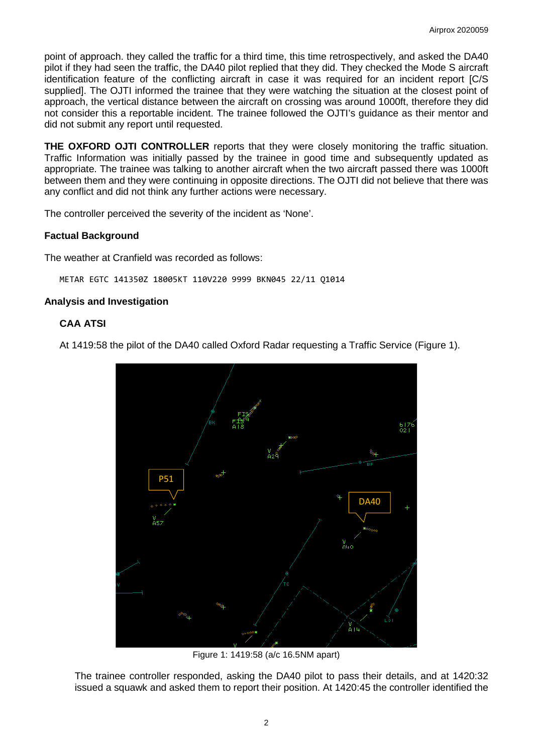point of approach. they called the traffic for a third time, this time retrospectively, and asked the DA40 pilot if they had seen the traffic, the DA40 pilot replied that they did. They checked the Mode S aircraft identification feature of the conflicting aircraft in case it was required for an incident report [C/S supplied]. The OJTI informed the trainee that they were watching the situation at the closest point of approach, the vertical distance between the aircraft on crossing was around 1000ft, therefore they did not consider this a reportable incident. The trainee followed the OJTI's guidance as their mentor and did not submit any report until requested.

**THE OXFORD OJTI CONTROLLER** reports that they were closely monitoring the traffic situation. Traffic Information was initially passed by the trainee in good time and subsequently updated as appropriate. The trainee was talking to another aircraft when the two aircraft passed there was 1000ft between them and they were continuing in opposite directions. The OJTI did not believe that there was any conflict and did not think any further actions were necessary.

The controller perceived the severity of the incident as 'None'.

## **Factual Background**

The weather at Cranfield was recorded as follows:

METAR EGTC 141350Z 18005KT 110V220 9999 BKN045 22/11 Q1014

## **Analysis and Investigation**

## **CAA ATSI**

At 1419:58 the pilot of the DA40 called Oxford Radar requesting a Traffic Service (Figure 1).



Figure 1: 1419:58 (a/c 16.5NM apart)

The trainee controller responded, asking the DA40 pilot to pass their details, and at 1420:32 issued a squawk and asked them to report their position. At 1420:45 the controller identified the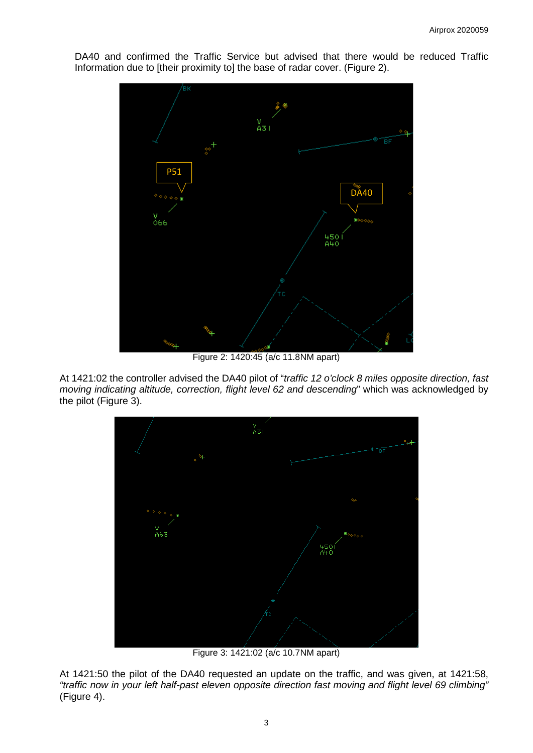DA40 and confirmed the Traffic Service but advised that there would be reduced Traffic Information due to [their proximity to] the base of radar cover. (Figure 2).



Figure 2: 1420:45 (a/c 11.8NM apart)

At 1421:02 the controller advised the DA40 pilot of "*traffic 12 o'clock 8 miles opposite direction, fast moving indicating altitude, correction, flight level 62 and descending*" which was acknowledged by the pilot (Figure 3).



Figure 3: 1421:02 (a/c 10.7NM apart)

At 1421:50 the pilot of the DA40 requested an update on the traffic, and was given, at 1421:58, *"traffic now in your left half-past eleven opposite direction fast moving and flight level 69 climbing"*  (Figure 4).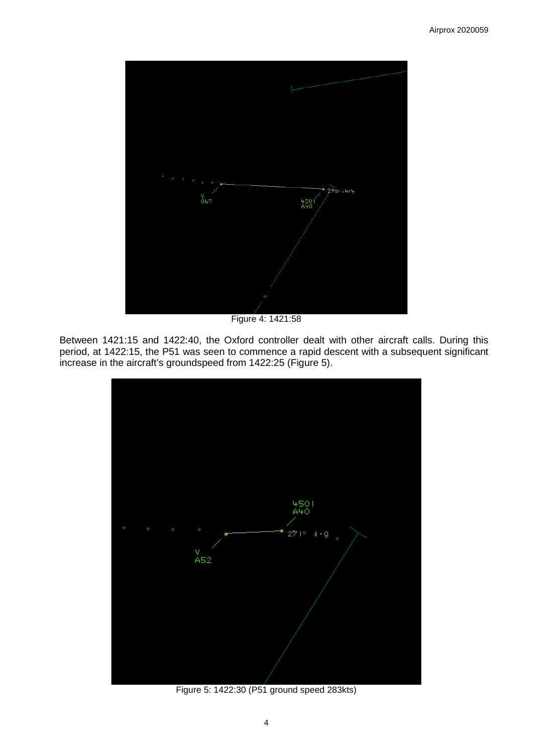

Figure 4: 1421:58

Between 1421:15 and 1422:40, the Oxford controller dealt with other aircraft calls. During this period, at 1422:15, the P51 was seen to commence a rapid descent with a subsequent significant increase in the aircraft's groundspeed from 1422:25 (Figure 5).



Figure 5: 1422:30 (P51 ground speed 283kts)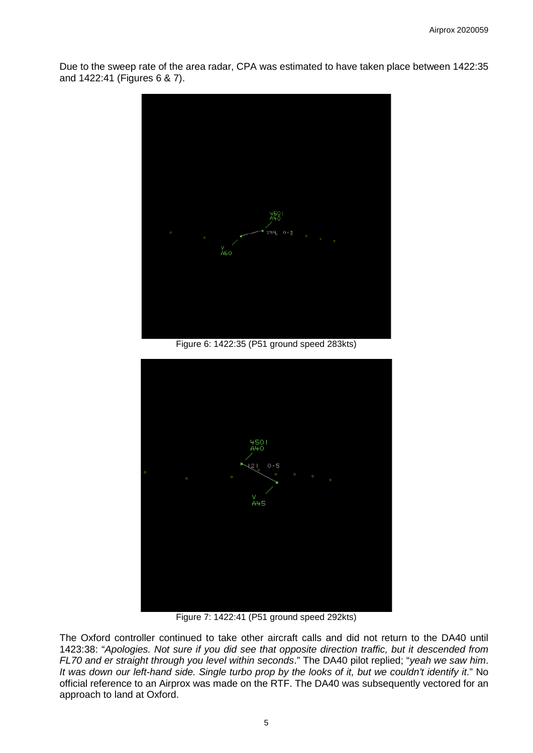Due to the sweep rate of the area radar, CPA was estimated to have taken place between 1422:35 and 1422:41 (Figures 6 & 7).



Figure 6: 1422:35 (P51 ground speed 283kts)



Figure 7: 1422:41 (P51 ground speed 292kts)

The Oxford controller continued to take other aircraft calls and did not return to the DA40 until 1423:38: "*Apologies. Not sure if you did see that opposite direction traffic, but it descended from FL70 and er straight through you level within seconds*." The DA40 pilot replied; "*yeah we saw him*. *It was down our left-hand side. Single turbo prop by the looks of it, but we couldn't identify it*." No official reference to an Airprox was made on the RTF. The DA40 was subsequently vectored for an approach to land at Oxford.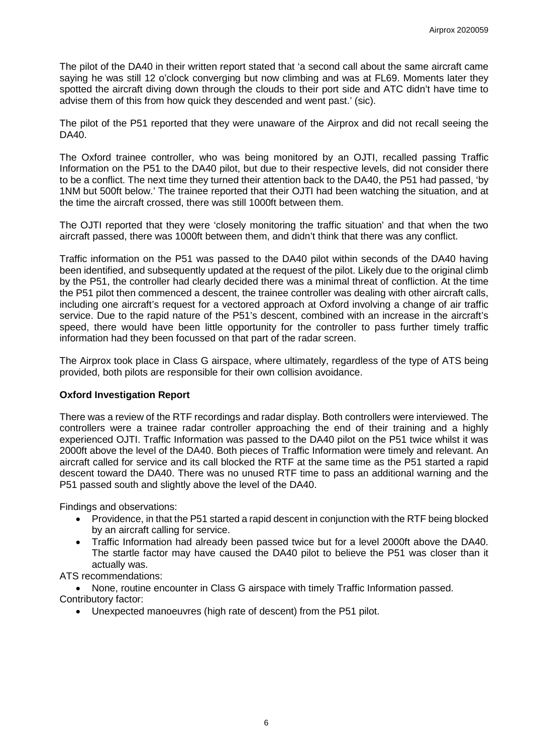The pilot of the DA40 in their written report stated that 'a second call about the same aircraft came saying he was still 12 o'clock converging but now climbing and was at FL69. Moments later they spotted the aircraft diving down through the clouds to their port side and ATC didn't have time to advise them of this from how quick they descended and went past.' (sic).

The pilot of the P51 reported that they were unaware of the Airprox and did not recall seeing the DA40.

The Oxford trainee controller, who was being monitored by an OJTI, recalled passing Traffic Information on the P51 to the DA40 pilot, but due to their respective levels, did not consider there to be a conflict. The next time they turned their attention back to the DA40, the P51 had passed, 'by 1NM but 500ft below.' The trainee reported that their OJTI had been watching the situation, and at the time the aircraft crossed, there was still 1000ft between them.

The OJTI reported that they were 'closely monitoring the traffic situation' and that when the two aircraft passed, there was 1000ft between them, and didn't think that there was any conflict.

Traffic information on the P51 was passed to the DA40 pilot within seconds of the DA40 having been identified, and subsequently updated at the request of the pilot. Likely due to the original climb by the P51, the controller had clearly decided there was a minimal threat of confliction. At the time the P51 pilot then commenced a descent, the trainee controller was dealing with other aircraft calls, including one aircraft's request for a vectored approach at Oxford involving a change of air traffic service. Due to the rapid nature of the P51's descent, combined with an increase in the aircraft's speed, there would have been little opportunity for the controller to pass further timely traffic information had they been focussed on that part of the radar screen.

The Airprox took place in Class G airspace, where ultimately, regardless of the type of ATS being provided, both pilots are responsible for their own collision avoidance.

## **Oxford Investigation Report**

There was a review of the RTF recordings and radar display. Both controllers were interviewed. The controllers were a trainee radar controller approaching the end of their training and a highly experienced OJTI. Traffic Information was passed to the DA40 pilot on the P51 twice whilst it was 2000ft above the level of the DA40. Both pieces of Traffic Information were timely and relevant. An aircraft called for service and its call blocked the RTF at the same time as the P51 started a rapid descent toward the DA40. There was no unused RTF time to pass an additional warning and the P51 passed south and slightly above the level of the DA40.

Findings and observations:

- Providence, in that the P51 started a rapid descent in conjunction with the RTF being blocked by an aircraft calling for service.
- Traffic Information had already been passed twice but for a level 2000ft above the DA40. The startle factor may have caused the DA40 pilot to believe the P51 was closer than it actually was.

ATS recommendations:

• None, routine encounter in Class G airspace with timely Traffic Information passed. Contributory factor:

• Unexpected manoeuvres (high rate of descent) from the P51 pilot.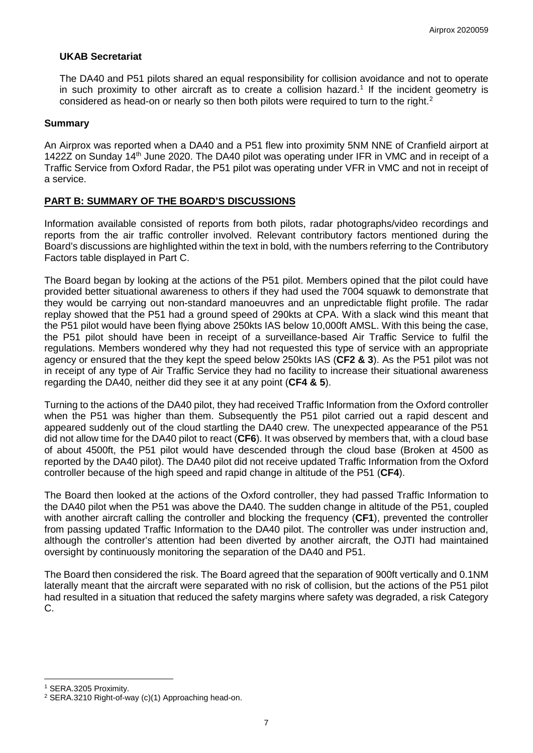## **UKAB Secretariat**

The DA40 and P51 pilots shared an equal responsibility for collision avoidance and not to operate in such proximity to other aircraft as to create a collision hazard. [1](#page-6-0) If the incident geometry is considered as head-on or nearly so then both pilots were required to turn to the right.<sup>[2](#page-6-1)</sup>

#### **Summary**

An Airprox was reported when a DA40 and a P51 flew into proximity 5NM NNE of Cranfield airport at 1422Z on Sunday 14<sup>th</sup> June 2020. The DA40 pilot was operating under IFR in VMC and in receipt of a Traffic Service from Oxford Radar, the P51 pilot was operating under VFR in VMC and not in receipt of a service.

## **PART B: SUMMARY OF THE BOARD'S DISCUSSIONS**

Information available consisted of reports from both pilots, radar photographs/video recordings and reports from the air traffic controller involved. Relevant contributory factors mentioned during the Board's discussions are highlighted within the text in bold, with the numbers referring to the Contributory Factors table displayed in Part C.

The Board began by looking at the actions of the P51 pilot. Members opined that the pilot could have provided better situational awareness to others if they had used the 7004 squawk to demonstrate that they would be carrying out non-standard manoeuvres and an unpredictable flight profile. The radar replay showed that the P51 had a ground speed of 290kts at CPA. With a slack wind this meant that the P51 pilot would have been flying above 250kts IAS below 10,000ft AMSL. With this being the case, the P51 pilot should have been in receipt of a surveillance-based Air Traffic Service to fulfil the regulations. Members wondered why they had not requested this type of service with an appropriate agency or ensured that the they kept the speed below 250kts IAS (**CF2 & 3**). As the P51 pilot was not in receipt of any type of Air Traffic Service they had no facility to increase their situational awareness regarding the DA40, neither did they see it at any point (**CF4 & 5**).

Turning to the actions of the DA40 pilot, they had received Traffic Information from the Oxford controller when the P51 was higher than them. Subsequently the P51 pilot carried out a rapid descent and appeared suddenly out of the cloud startling the DA40 crew. The unexpected appearance of the P51 did not allow time for the DA40 pilot to react (**CF6**). It was observed by members that, with a cloud base of about 4500ft, the P51 pilot would have descended through the cloud base (Broken at 4500 as reported by the DA40 pilot). The DA40 pilot did not receive updated Traffic Information from the Oxford controller because of the high speed and rapid change in altitude of the P51 (**CF4**).

The Board then looked at the actions of the Oxford controller, they had passed Traffic Information to the DA40 pilot when the P51 was above the DA40. The sudden change in altitude of the P51, coupled with another aircraft calling the controller and blocking the frequency (**CF1**), prevented the controller from passing updated Traffic Information to the DA40 pilot. The controller was under instruction and, although the controller's attention had been diverted by another aircraft, the OJTI had maintained oversight by continuously monitoring the separation of the DA40 and P51.

The Board then considered the risk. The Board agreed that the separation of 900ft vertically and 0.1NM laterally meant that the aircraft were separated with no risk of collision, but the actions of the P51 pilot had resulted in a situation that reduced the safety margins where safety was degraded, a risk Category C.

 $\overline{\phantom{a}}$ 

<span id="page-6-0"></span><sup>1</sup> SERA.3205 Proximity.

<span id="page-6-1"></span><sup>2</sup> SERA.3210 Right-of-way (c)(1) Approaching head-on.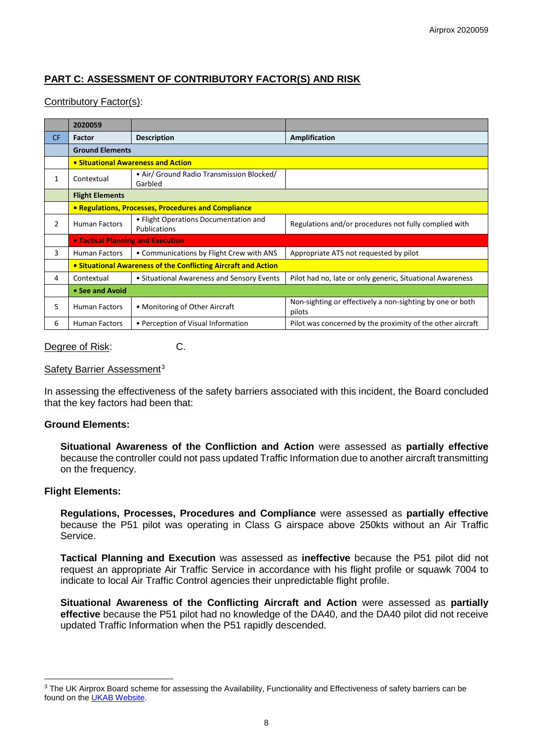# **PART C: ASSESSMENT OF CONTRIBUTORY FACTOR(S) AND RISK**

## Contributory Factor(s):

|           | 2020059                                                        |                                                       |                                                                     |  |  |
|-----------|----------------------------------------------------------------|-------------------------------------------------------|---------------------------------------------------------------------|--|--|
| <b>CF</b> | Factor                                                         | <b>Description</b>                                    | Amplification                                                       |  |  |
|           | <b>Ground Elements</b>                                         |                                                       |                                                                     |  |  |
|           | • Situational Awareness and Action                             |                                                       |                                                                     |  |  |
| 1         | Contextual                                                     | • Air/ Ground Radio Transmission Blocked/<br>Garbled  |                                                                     |  |  |
|           | <b>Flight Elements</b>                                         |                                                       |                                                                     |  |  |
|           | • Regulations, Processes, Procedures and Compliance            |                                                       |                                                                     |  |  |
| 2         | <b>Human Factors</b>                                           | • Flight Operations Documentation and<br>Publications | Regulations and/or procedures not fully complied with               |  |  |
|           | <b>• Tactical Planning and Execution</b>                       |                                                       |                                                                     |  |  |
| 3         | <b>Human Factors</b>                                           | • Communications by Flight Crew with ANS              | Appropriate ATS not requested by pilot                              |  |  |
|           | • Situational Awareness of the Conflicting Aircraft and Action |                                                       |                                                                     |  |  |
| 4         | Contextual                                                     | • Situational Awareness and Sensory Events            | Pilot had no, late or only generic, Situational Awareness           |  |  |
|           | • See and Avoid                                                |                                                       |                                                                     |  |  |
| 5         | <b>Human Factors</b>                                           | • Monitoring of Other Aircraft                        | Non-sighting or effectively a non-sighting by one or both<br>pilots |  |  |
| 6         | <b>Human Factors</b>                                           | • Perception of Visual Information                    | Pilot was concerned by the proximity of the other aircraft          |  |  |

#### Degree of Risk: C.

#### Safety Barrier Assessment<sup>[3](#page-7-0)</sup>

In assessing the effectiveness of the safety barriers associated with this incident, the Board concluded that the key factors had been that:

#### **Ground Elements:**

**Situational Awareness of the Confliction and Action** were assessed as **partially effective** because the controller could not pass updated Traffic Information due to another aircraft transmitting on the frequency.

#### **Flight Elements:**

 $\overline{\phantom{a}}$ 

**Regulations, Processes, Procedures and Compliance** were assessed as **partially effective** because the P51 pilot was operating in Class G airspace above 250kts without an Air Traffic Service.

**Tactical Planning and Execution** was assessed as **ineffective** because the P51 pilot did not request an appropriate Air Traffic Service in accordance with his flight profile or squawk 7004 to indicate to local Air Traffic Control agencies their unpredictable flight profile.

**Situational Awareness of the Conflicting Aircraft and Action** were assessed as **partially effective** because the P51 pilot had no knowledge of the DA40, and the DA40 pilot did not receive updated Traffic Information when the P51 rapidly descended.

<span id="page-7-0"></span><sup>&</sup>lt;sup>3</sup> The UK Airprox Board scheme for assessing the Availability, Functionality and Effectiveness of safety barriers can be found on the [UKAB Website.](http://www.airproxboard.org.uk/Learn-more/Airprox-Barrier-Assessment/)